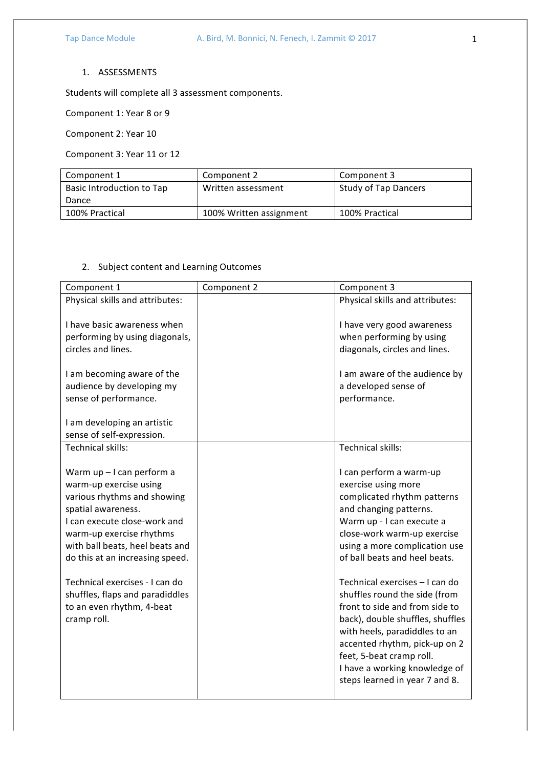## 1. ASSESSMENTS

Students will complete all 3 assessment components.

Component 1: Year 8 or 9

Component 2: Year 10

Component 3: Year 11 or 12

| Component 1               | Component 2             | Component 3          |
|---------------------------|-------------------------|----------------------|
| Basic Introduction to Tap | Written assessment      | Study of Tap Dancers |
| Dance                     |                         |                      |
| 100% Practical            | 100% Written assignment | 100% Practical       |

## 2. Subject content and Learning Outcomes

| Component 1                                                                                                                                                                                                                                | Component 2 | Component 3                                                                                                                                                                                                                                                                                            |
|--------------------------------------------------------------------------------------------------------------------------------------------------------------------------------------------------------------------------------------------|-------------|--------------------------------------------------------------------------------------------------------------------------------------------------------------------------------------------------------------------------------------------------------------------------------------------------------|
| Physical skills and attributes:                                                                                                                                                                                                            |             | Physical skills and attributes:                                                                                                                                                                                                                                                                        |
| I have basic awareness when<br>performing by using diagonals,<br>circles and lines.<br>I am becoming aware of the                                                                                                                          |             | I have very good awareness<br>when performing by using<br>diagonals, circles and lines.<br>I am aware of the audience by                                                                                                                                                                               |
| audience by developing my                                                                                                                                                                                                                  |             | a developed sense of                                                                                                                                                                                                                                                                                   |
| sense of performance.                                                                                                                                                                                                                      |             | performance.                                                                                                                                                                                                                                                                                           |
| I am developing an artistic<br>sense of self-expression.                                                                                                                                                                                   |             |                                                                                                                                                                                                                                                                                                        |
| Technical skills:                                                                                                                                                                                                                          |             | Technical skills:                                                                                                                                                                                                                                                                                      |
| Warm up - I can perform a<br>warm-up exercise using<br>various rhythms and showing<br>spatial awareness.<br>I can execute close-work and<br>warm-up exercise rhythms<br>with ball beats, heel beats and<br>do this at an increasing speed. |             | I can perform a warm-up<br>exercise using more<br>complicated rhythm patterns<br>and changing patterns.<br>Warm up - I can execute a<br>close-work warm-up exercise<br>using a more complication use<br>of ball beats and heel beats.                                                                  |
| Technical exercises - I can do<br>shuffles, flaps and paradiddles<br>to an even rhythm, 4-beat<br>cramp roll.                                                                                                                              |             | Technical exercises - I can do<br>shuffles round the side (from<br>front to side and from side to<br>back), double shuffles, shuffles<br>with heels, paradiddles to an<br>accented rhythm, pick-up on 2<br>feet, 5-beat cramp roll.<br>I have a working knowledge of<br>steps learned in year 7 and 8. |